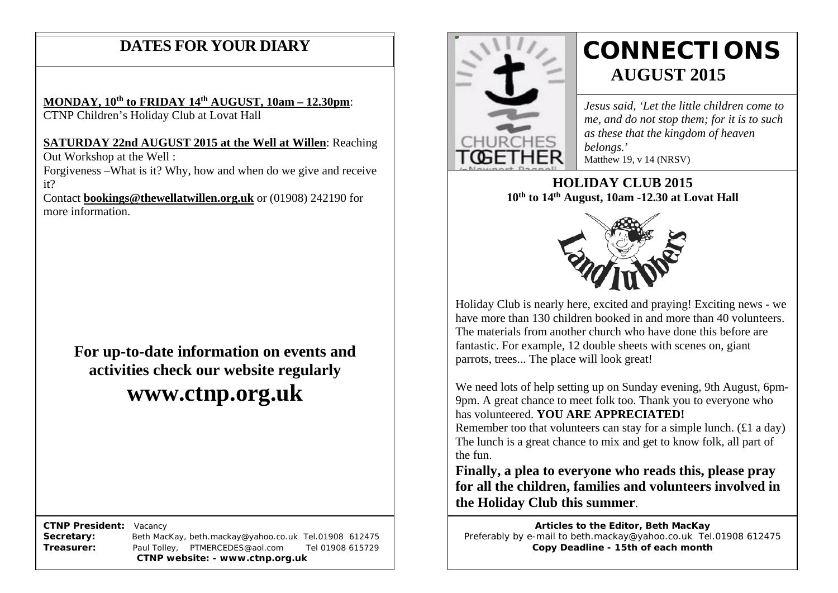### **DATES FOR YOUR DIARY**

### **MONDAY, 10th to FRIDAY 14th AUGUST, 10am – 12.30pm**:

CTNP Children's Holiday Club at Lovat Hall

#### **SATURDAY 22nd AUGUST 2015 at the Well at Willen**: Reaching

 Out Workshop at the Well : Forgiveness –What is it? Why, how and when do we give and receive

it? Contact **[bookings@thewellatwillen.org.uk](mailto:bookings@thewellatwillen.org.uk)** or (01908) 242190 for more information.

**For up-to-date information on events and activities check our website regularly**

# **www.ctnp.org.uk**

 **CTNP President:** Vacancy

**Secretary:** Beth MacKay, beth.mackay@yahoo.co.uk Tel.01908 612475 **Treasurer:** Paul Tolley, PTMERCEDES@aol.com Tel 01908 615729 **CTNP website: - www.ctnp.org.uk**



# **CONNECTIONS AUGUST 2015**

*Jesus said, 'Let the little children come to me, and do not stop them; for it is to such as these that the kingdom of heaven belongs.*' Matthew 19, v 14 (NRSV)

**HOLIDAY CLUB 2015 10th to 14th August, 10am -12.30 at Lovat Hall**



Holiday Club is nearly here, excited and praying! Exciting news - we have more than 130 children booked in and more than 40 volunteers. The materials from another church who have done this before are fantastic. For example, 12 double sheets with scenes on, giant parrots, trees... The place will look great!

We need lots of help setting up on Sunday evening, 9th August, 6pm-9pm. A great chance to meet folk too. Thank you to everyone who has volunteered. **YOU ARE APPRECIATED!** Remember too that volunteers can stay for a simple lunch. (£1 a day)

The lunch is a great chance to mix and get to know folk, all part of the fun.

**Finally, a plea to everyone who reads this, please pray for all the children, families and volunteers involved in the Holiday Club this summer**.

**Articles to the Editor, Beth MacKay** Preferably by e-mail to beth.mackay@yahoo.co.uk Tel.01908 612475 **Copy Deadline - 15th of each month**